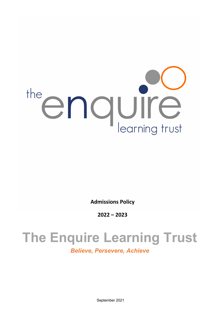

**Admissions Policy**

**2022 – 2023**

# **The Enquire Learning Trust**

*Believe, Persevere, Achieve*

September 2021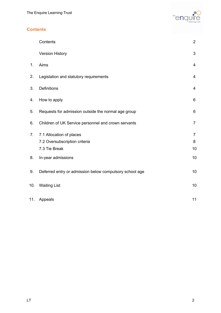

## **Contents**

|     | Contents                                                                   | $\overline{2}$            |
|-----|----------------------------------------------------------------------------|---------------------------|
|     | <b>Version History</b>                                                     | 3                         |
| 1.  | Aims                                                                       | 4                         |
| 2.  | Legislation and statutory requirements                                     | 4                         |
| 3.  | Definitions                                                                | 4                         |
| 4.  | How to apply                                                               | 6                         |
| 5.  | Requests for admission outside the normal age group                        | 6                         |
| 6.  | Children of UK Service personnel and crown servants                        | $\overline{7}$            |
| 7.  | 7.1 Allocation of places<br>7.2 Oversubscription criteria<br>7.3 Tie Break | $\overline{7}$<br>8<br>10 |
| 8.  | In-year admissions                                                         | 10                        |
| 9.  | Deferred entry or admission below compulsory school age                    | 10                        |
| 10. | <b>Waiting List</b>                                                        | 10                        |
| 11. | Appeals                                                                    | 11                        |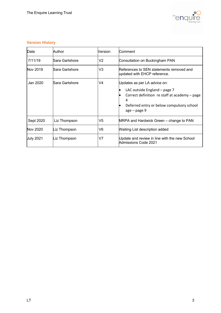

#### **Version History**

| Date             | Author         | Version | Comment                                                                                                                                                                           |
|------------------|----------------|---------|-----------------------------------------------------------------------------------------------------------------------------------------------------------------------------------|
| 7/11/19          | Sara Gartshore | V2      | Consultation on Buckingham PAN                                                                                                                                                    |
| Nov 2019         | Sara Gartshore | V3      | References to SEN statements removed and<br>updated with EHCP reference.                                                                                                          |
| Jan 2020         | Sara Gartshore | V4      | Updates as per LA advice on:<br>LAC outside England - page 7<br>Correct definition re staff at academy - page<br>4<br>Deferred entry or below compulsory school<br>$age - page 9$ |
| Sept 2020        | Liz Thompson   | V5      | MRPA and Hardwick Green – change to PAN                                                                                                                                           |
| Nov 2020         | Liz Thompson   | V6      | Waiting List description added                                                                                                                                                    |
| <b>July 2021</b> | Liz Thompson   | V7      | Update and review in line with the new School<br><b>Admissions Code 2021</b>                                                                                                      |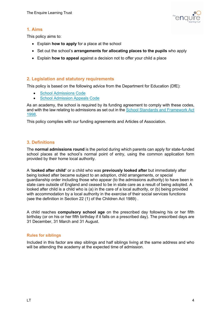

## **1. Aims**

This policy aims to:

- Explain **how to apply** for a place at the school
- Set out the school's **arrangements for allocating places to the pupils** who apply
- Explain **how to appeal** against a decision not to offer your child a place

#### **2. Legislation and statutory requirements**

This policy is based on the following advice from the Department for Education (DfE):

- School Admissions Code
- School Admission Appeals Code

As an academy, the school is required by its funding agreement to comply with these codes, and with the law relating to admissions as set out in the School Standards and Framework Act 1998.

This policy complies with our funding agreements and Articles of Association.

#### **3. Definitions**

The **normal admissions round** is the period during which parents can apply for state-funded school places at the school's normal point of entry, using the common application form provided by their home local authority.

A '**looked after child'** or a child who was **previously looked after** but immediately after being looked after became subject to an adoption, child arrangements, or special guardianship order including those who appear (to the admissions authority) to have been in state care outside of England and ceased to be in state care as a result of being adopted. A looked after child is a child who is (a) in the care of a local authority, or (b) being provided with accommodation by a local authority in the exercise of their social services functions (see the definition in Section 22 (1) of the Children Act 1989) .

A child reaches **compulsory school age** on the prescribed day following his or her fifth birthday (or on his or her fifth birthday if it falls on a prescribed day). The prescribed days are 31 December, 31 March and 31 August.

#### **Rules for siblings**

Included in this factor are step siblings and half siblings living at the same address and who will be attending the academy at the expected time of admission.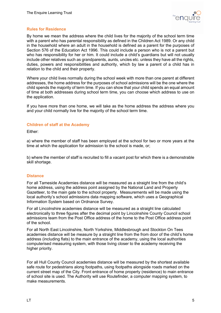

#### **Rules for Residence**

By home we mean the address where the child lives for the majority of the school term time with a parent who has parental responsibility as defined in the Children Act 1989. Or any child in the household where an adult in the household is defined as a parent for the purposes of Section 576 of the Education Act 1996. This could include a person who is not a parent but who has responsibility for her or him. It could include a child's guardians but will not usually include other relatives such as grandparents, aunts, uncles etc. unless they have all the rights, duties, powers and responsibilities and authority, which by law a parent of a child has in relation to the child and their property.

Where your child lives normally during the school week with more than one parent at different addresses, the home address for the purposes of school admissions will be the one where the child spends the majority of term time. If you can show that your child spends an equal amount of time at both addresses during school term time, you can choose which address to use on the application.

If you have more than one home, we will take as the home address the address where you and your child normally live for the majority of the school term time.

#### **Children of staff at the Academy**

Either:

a) where the member of staff has been employed at the school for two or more years at the time at which the application for admission to the school is made, or;

b) where the member of staff is recruited to fill a vacant post for which there is a demonstrable skill shortage.

#### **Distance**

For all Tameside Academies distance will be measured as a straight line from the child's home address, using the address point assigned by the National Land and Property Gazetteer, to the main gate to the school property. Measurements will be made using the local authority's school admissions data mapping software, which uses a Geographical Information System based on Ordnance Survey.

For all Lincolnshire academies distance will be measured as a straight line calculated electronically to three figures after the decimal point by Lincolnshire County Council school admissions team from the Post Office address of the home to the Post Office address point of the school.

For all North East Lincolnshire, North Yorkshire, Middlesbrough and Stockton On Tees academies distance will be measure by a straight line from the from door of the child's home address (including flats) to the main entrance of the academy, using the local authorities computerised measuring system, with those living closer to the academy receiving the higher priority.

For all Hull County Council academies distance will be measured by the shortest available safe route for pedestrians along footpaths, using footpaths alongside roads marked on the current street map of the City. Front entrance of home property (residence) to main entrance of school site is used. The Authority will use Routefinder, a computer mapping system, to make measurements.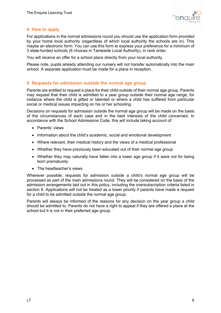

## **4. How to apply**

For applications in the normal admissions round you should use the application form provided by your home local authority (regardless of which local authority the schools are in). This maybe an electronic form. You can use this form to express your preference for a minimum of 3 state-funded schools (6 choices in Tameside Local Authority), in rank order.

You will receive an offer for a school place directly from your local authority.

Please note, pupils already attending our nursery will not transfer automatically into the main school. A separate application must be made for a place in reception.

#### **5. Requests for admission outside the normal age group**

Parents are entitled to request a place for their child outside of their normal age group. Parents may request that their child is admitted to a year group outside their normal age range, for instance where the child is gifted or talented or where a child has suffered from particular social or medical issues impacting on his or her schooling.

Decisions on requests for admission outside the normal age group will be made on the basis of the circumstances of each case and in the best interests of the child concerned. In accordance with the School Admissions Code, this will include taking account of:

- Parents' views
- Information about the child's academic, social and emotional development
- Where relevant, their medical history and the views of a medical professional
- Whether they have previously been educated out of their normal age group
- Whether they may naturally have fallen into a lower age group if it were not for being born prematurely
- The headteacher's views

Wherever possible, requests for admission outside a child's normal age group will be processed as part of the main admissions round. They will be considered on the basis of the admission arrangements laid out in this policy, including the oversubscription criteria listed in section 6. Applications will not be treated as a lower priority if parents have made a request for a child to be admitted outside the normal age group.

Parents will always be informed of the reasons for any decision on the year group a child should be admitted to. Parents do not have a right to appeal if they are offered a place at the school but it is not in their preferred age group.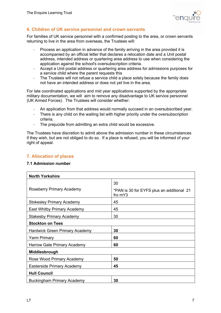

## **6. Children of UK service personnel and crown servants**

For families of UK service personnel with a confirmed posting to the area, or crown servants returning to live in the area from overseas, the Trustees will:

- Process an application in advance of the family arriving in the area provided it is accompanied by an official letter that declares a relocation date and a Unit postal address, intended address or quartering area address to use when considering the application against the school's oversubscription criteria.
- Accept a Unit postal address or quartering area address for admissions purposes for a service child where the parent requests this
- The Trustees will not refuse a service child a place solely because the family does not have an intended address or does not yet live in the area.

For late coordinated applications and mid year applications supported by the appropriate military documentation, we will aim to remove any disadvantage to UK service personnel (UK Armed Forces). The Trustees will consider whether:

- An application from that address would normally succeed in an oversubscribed year.
- There is any child on the waiting list with higher priority under the oversubscription criteria.
- The prejucide from admitting an extra child would be excessive.

The Trustees have discretion to admit above the admission number in these circumstances if they wish, but are not obliged to do so. If a place is refused, you will be informed of your right of appeal.

## **7. Allocation of places**

#### **7.1 Admission number**

| <b>North Yorkshire</b>            |                                                            |  |  |  |  |
|-----------------------------------|------------------------------------------------------------|--|--|--|--|
| Roseberry Primary Academy         | 30<br>*PAN is 30 for EYFS plus an additional 21<br>fro mY3 |  |  |  |  |
| <b>Stokesley Primary Academy</b>  | 45                                                         |  |  |  |  |
| East Whitby Primary Academy       | 45                                                         |  |  |  |  |
| <b>Stakesby Primary Academy</b>   | 30                                                         |  |  |  |  |
| <b>Stockton on Tees</b>           |                                                            |  |  |  |  |
| Hardwick Green Primary Academy    | 30                                                         |  |  |  |  |
| <b>Yarm Primary</b>               | 60                                                         |  |  |  |  |
| Harrow Gate Primary Academy       | 60                                                         |  |  |  |  |
| Middlesbrough                     |                                                            |  |  |  |  |
| Rose Wood Primary Academy         | 50                                                         |  |  |  |  |
| Easterside Primary Academy        | 45                                                         |  |  |  |  |
| <b>Hull Council</b>               |                                                            |  |  |  |  |
| <b>Buckingham Primary Academy</b> | 30                                                         |  |  |  |  |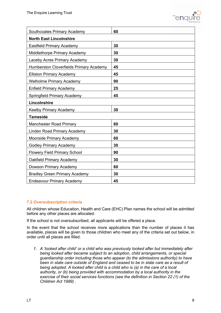

| Southcoates Primary Academy                    | 60 |  |  |  |
|------------------------------------------------|----|--|--|--|
| <b>North East Lincolnshire</b>                 |    |  |  |  |
| <b>Eastfield Primary Academy</b>               | 30 |  |  |  |
| Middlethorpe Primary Academy                   | 30 |  |  |  |
| Laceby Acres Primary Academy                   | 30 |  |  |  |
| <b>Humberston Cloverfields Primary Academy</b> | 45 |  |  |  |
| <b>Elliston Primary Academy</b>                | 45 |  |  |  |
| <b>Welholme Primary Academy</b>                | 90 |  |  |  |
| <b>Enfield Primary Academy</b>                 | 25 |  |  |  |
| Springfield Primary Academy                    | 45 |  |  |  |
| Lincolnshire                                   |    |  |  |  |
| <b>Keelby Primary Academy</b>                  | 30 |  |  |  |
| <b>Tameside</b>                                |    |  |  |  |
| <b>Manchester Road Primary</b>                 | 60 |  |  |  |
| Linden Road Primary Academy                    | 30 |  |  |  |
| Moorside Primary Academy                       | 60 |  |  |  |
| <b>Godley Primary Academy</b>                  | 30 |  |  |  |
| <b>Flowery Field Primary School</b>            | 90 |  |  |  |
| Oakfield Primary Academy                       | 30 |  |  |  |
| Dowson Primary Academy                         | 60 |  |  |  |
| <b>Bradley Green Primary Academy</b>           | 30 |  |  |  |
| <b>Endeavour Primary Academy</b>               | 45 |  |  |  |

#### **7.2 Oversubscription criteria**

All children whose Education, Health and Care (EHC) Plan names the school will be admitted before any other places are allocated.

If the school is not oversubscribed, all applicants will be offered a place.

In the event that the school receives more applications than the number of places it has available, places will be given to those children who meet any of the criteria set out below, in order until all places are filled.

*1. A 'looked after child' or a child who was previously looked after but immediately after being looked after became subject to an adoption, child arrangements, or special guardianship order including those who appear (to the admissions authority) to have been in state care outside of England and ceased to be in state care as a result of being adopted. A looked after child is a child who is (a) in the care of a local authority, or (b) being provided with accommodation by a local authority in the exercise of their social services functions (see the definition in Section 22 (1) of the Children Act 1989) .*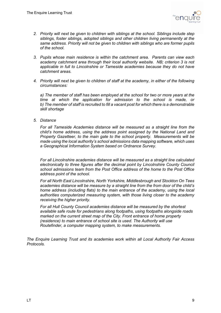

- *2. Priority will next be given to children with siblings at the school. Siblings include step siblings, foster siblings, adopted siblings and other children living permanently at the same address. Priority will not be given to children with siblings who are former pupils of the school.*
- *3. Pupils whose main residence is within the catchment area. Parents can view each academy catchment area through their local authority website. NB; criterion 3 is not applicable in full to Lincolnshire or Tameside academies because they do not have catchment areas.*
- *4. Priority will next be given to children of staff at the academy, in either of the following circumstances:*

*a) The member of staff has been employed at the school for two or more years at the time at which the application for admission to the school is made, or b) The member of staff is recruited to fill a vacant post for which there is a demonstrable skill shortage*

*5. Distance* 

*For all Tameside Academies distance will be measured as a straight line from the child's home address, using the address point assigned by the National Land and Property Gazetteer, to the main gate to the school property. Measurements will be made using the local authority's school admissions data mapping software, which uses a Geographical Information System based on Ordnance Survey.*

*For all Lincolnshire academies distance will be measured as a straight line calculated electronically to three figures after the decimal point by Lincolnshire County Council school admissions team from the Post Office address of the home to the Post Office address point of the school.* 

*For all North East Lincolnshire, North Yorkshire, Middlesbrough and Stockton On Tees academies distance will be measure by a straight line from the from door of the child's home address (including flats) to the main entrance of the academy, using the local authorities computerized measuring system, with those living closer to the academy receiving the higher priority.* 

*For all Hull County Council academies distance will be measured by the shortest available safe route for pedestrians along footpaths, using footpaths alongside roads marked on the current street map of the City. Front entrance of home property (residence) to main entrance of school site is used. The Authority will use Routefinder, a computer mapping system, to make measurements.*

*The Enquire Learning Trust and its academies work within all Local Authority Fair Access Protocols.*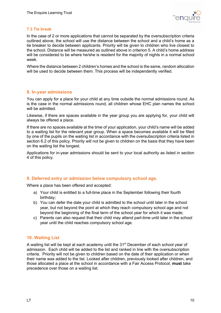

#### **7.3 Tie break**

In the case of 2 or more applications that cannot be separated by the oversubscription criteria outlined above, the school will use the distance between the school and a child's home as a tie breaker to decide between applicants. Priority will be given to children who live closest to the school. Distance will be measured as outlined above in criterion 5. A child's home address will be considered to be where he/she is resident for the majority of nights in a normal school week.

Where the distance between 2 children's homes and the school is the same, random allocation will be used to decide between them. This process will be independently verified.

#### **8. In-year admissions**

You can apply for a place for your child at any time outside the normal admissions round. As is the case in the normal admissions round, all children whose EHC plan names the school will be admitted.

Likewise, if there are spaces available in the year group you are applying for, your child will always be offered a place.

If there are no spaces available at the time of your application, your child's name will be added to a waiting list for the relevant year group. When a space becomes available it will be filled by one of the pupils on the waiting list in accordance with the oversubscription criteria listed in section 6.2 of this policy. Priority will not be given to children on the basis that they have been on the waiting list the longest.

Applications for in-year admissions should be sent to your local authority as listed in section 4 of this policy.

#### **9. Deferred entry or admission below compulsory school age.**

Where a place has been offered and accepted:

- a) Your child is entitled to a full-time place in the September following their fourth birthday;
- b) You can defer the date your child is admitted to the school until later in the school year, but not beyond the point at which they reach compulsory school age and not beyond the beginning of the final term of the school year for which it was made;
- c) Parents can also request that their child may attend part-time until later in the school year until the child reaches compulsory school age.

#### **10. Waiting List**

A waiting list will be kept at each academy until the 31<sup>st</sup> December of each school year of admission. Each child will be added to the list and ranked in line with the oversubscription criteria. Priority will not be given to children based on the date of their application or when their name was added to the list. Looked after children, previously looked after children, and those allocated a place at the school in accordance with a Fair Access Protocol, **must** take precedence over those on a waiting list.